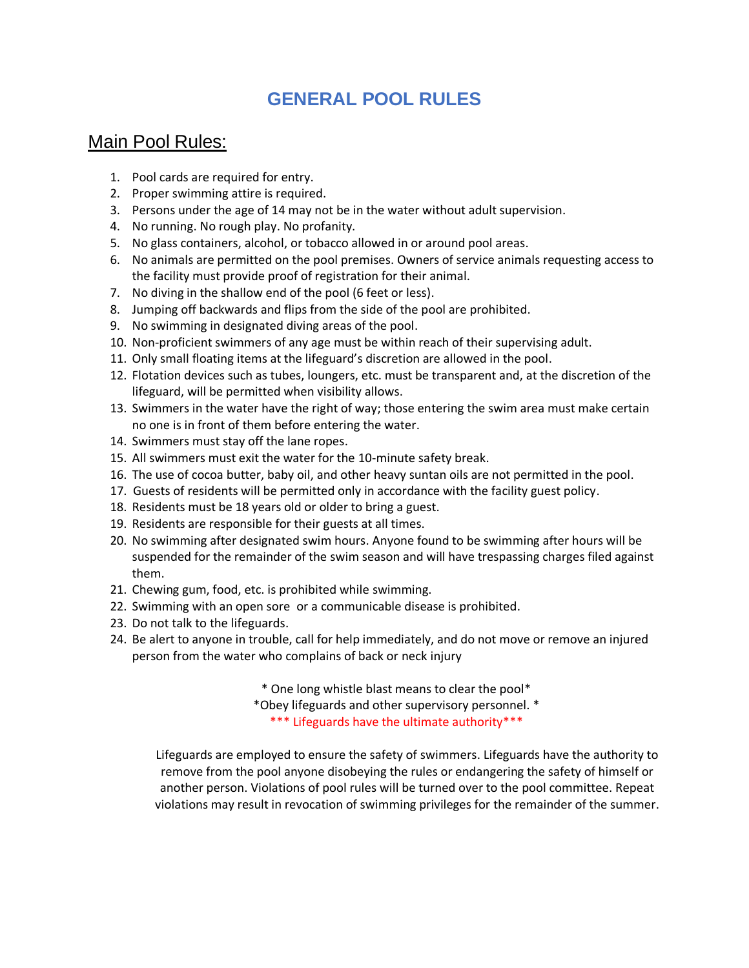## **GENERAL POOL RULES**

## Main Pool Rules:

- 1. Pool cards are required for entry.
- 2. Proper swimming attire is required.
- 3. Persons under the age of 14 may not be in the water without adult supervision.
- 4. No running. No rough play. No profanity.
- 5. No glass containers, alcohol, or tobacco allowed in or around pool areas.
- 6. No animals are permitted on the pool premises. Owners of service animals requesting access to the facility must provide proof of registration for their animal.
- 7. No diving in the shallow end of the pool (6 feet or less).
- 8. Jumping off backwards and flips from the side of the pool are prohibited.
- 9. No swimming in designated diving areas of the pool.
- 10. Non-proficient swimmers of any age must be within reach of their supervising adult.
- 11. Only small floating items at the lifeguard's discretion are allowed in the pool.
- 12. Flotation devices such as tubes, loungers, etc. must be transparent and, at the discretion of the lifeguard, will be permitted when visibility allows.
- 13. Swimmers in the water have the right of way; those entering the swim area must make certain no one is in front of them before entering the water.
- 14. Swimmers must stay off the lane ropes.
- 15. All swimmers must exit the water for the 10-minute safety break.
- 16. The use of cocoa butter, baby oil, and other heavy suntan oils are not permitted in the pool.
- 17. Guests of residents will be permitted only in accordance with the facility guest policy.
- 18. Residents must be 18 years old or older to bring a guest.
- 19. Residents are responsible for their guests at all times.
- 20. No swimming after designated swim hours. Anyone found to be swimming after hours will be suspended for the remainder of the swim season and will have trespassing charges filed against them.
- 21. Chewing gum, food, etc. is prohibited while swimming.
- 22. Swimming with an open sore or a communicable disease is prohibited.
- 23. Do not talk to the lifeguards.
- 24. Be alert to anyone in trouble, call for help immediately, and do not move or remove an injured person from the water who complains of back or neck injury

\* One long whistle blast means to clear the pool\* \*Obey lifeguards and other supervisory personnel. \* \*\*\* Lifeguards have the ultimate authority\*\*\*

Lifeguards are employed to ensure the safety of swimmers. Lifeguards have the authority to remove from the pool anyone disobeying the rules or endangering the safety of himself or another person. Violations of pool rules will be turned over to the pool committee. Repeat violations may result in revocation of swimming privileges for the remainder of the summer.